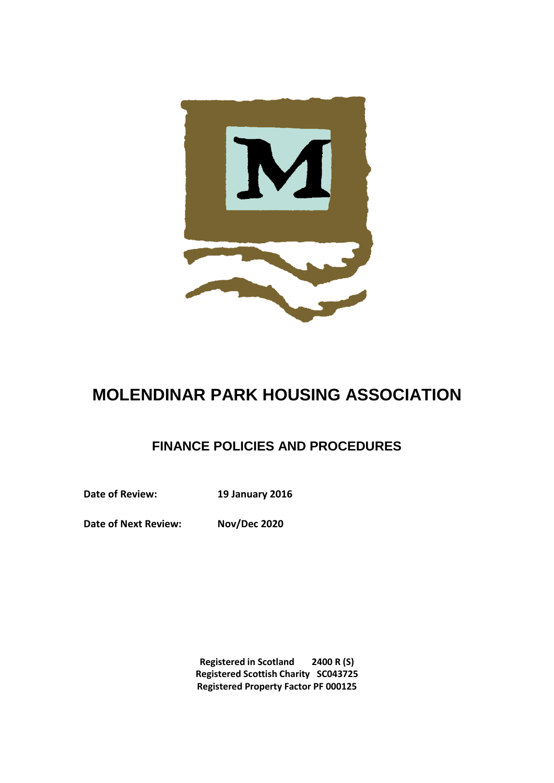

# **MOLENDINAR PARK HOUSING ASSOCIATION**

## **FINANCE POLICIES AND PROCEDURES**

**Date of Review: 19 January 2016**

**Date of Next Review: Nov/Dec 2020**

**Registered in Scotland 2400 R (S) Registered Scottish Charity SC043725 Registered Property Factor PF 000125**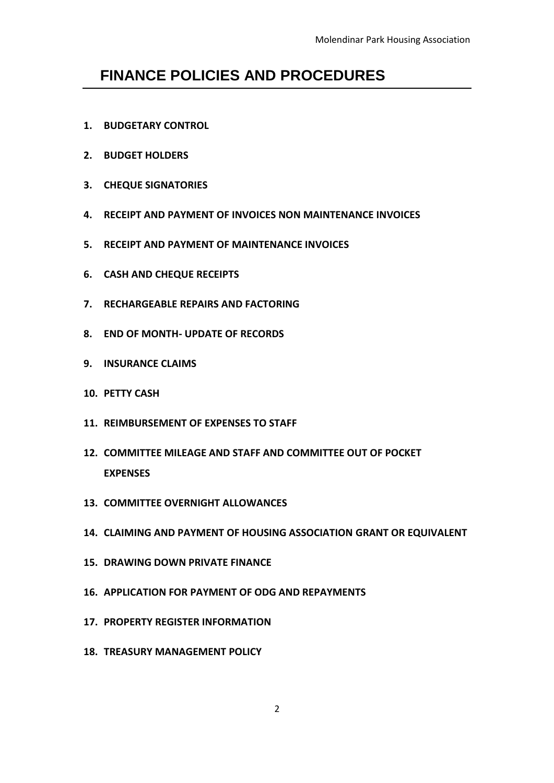## **FINANCE POLICIES AND PROCEDURES**

- **1. BUDGETARY CONTROL**
- **2. BUDGET HOLDERS**
- **3. CHEQUE SIGNATORIES**
- **4. RECEIPT AND PAYMENT OF INVOICES NON MAINTENANCE INVOICES**
- **5. RECEIPT AND PAYMENT OF MAINTENANCE INVOICES**
- **6. CASH AND CHEQUE RECEIPTS**
- **7. RECHARGEABLE REPAIRS AND FACTORING**
- **8. END OF MONTH- UPDATE OF RECORDS**
- **9. INSURANCE CLAIMS**
- **10. PETTY CASH**
- **11. REIMBURSEMENT OF EXPENSES TO STAFF**
- **12. COMMITTEE MILEAGE AND STAFF AND COMMITTEE OUT OF POCKET EXPENSES**
- **13. COMMITTEE OVERNIGHT ALLOWANCES**
- **14. CLAIMING AND PAYMENT OF HOUSING ASSOCIATION GRANT OR EQUIVALENT**
- **15. DRAWING DOWN PRIVATE FINANCE**
- **16. APPLICATION FOR PAYMENT OF ODG AND REPAYMENTS**
- **17. PROPERTY REGISTER INFORMATION**
- **18. TREASURY MANAGEMENT POLICY**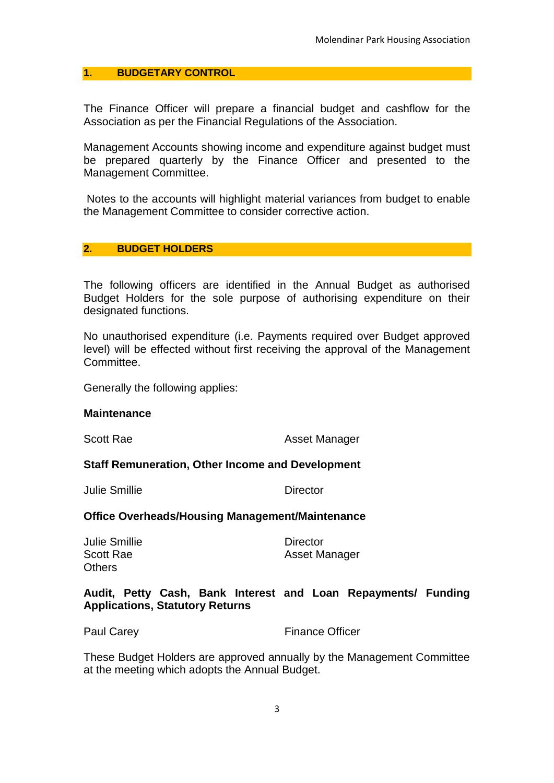#### **1. BUDGETARY CONTROL**

The Finance Officer will prepare a financial budget and cashflow for the Association as per the Financial Regulations of the Association.

Management Accounts showing income and expenditure against budget must be prepared quarterly by the Finance Officer and presented to the Management Committee.

Notes to the accounts will highlight material variances from budget to enable the Management Committee to consider corrective action.

#### **2. BUDGET HOLDERS**

The following officers are identified in the Annual Budget as authorised Budget Holders for the sole purpose of authorising expenditure on their designated functions.

No unauthorised expenditure (i.e. Payments required over Budget approved level) will be effected without first receiving the approval of the Management Committee.

Generally the following applies:

#### **Maintenance**

Scott Rae **Asset Manager** Asset Manager

#### **Staff Remuneration, Other Income and Development**

Julie Smillie Director

#### **Office Overheads/Housing Management/Maintenance**

Julie Smillie Director **Others** 

Scott Rae **Asset Manager** Asset Manager

#### **Audit, Petty Cash, Bank Interest and Loan Repayments/ Funding Applications, Statutory Returns**

Paul Carey **Finance Officer** 

These Budget Holders are approved annually by the Management Committee at the meeting which adopts the Annual Budget.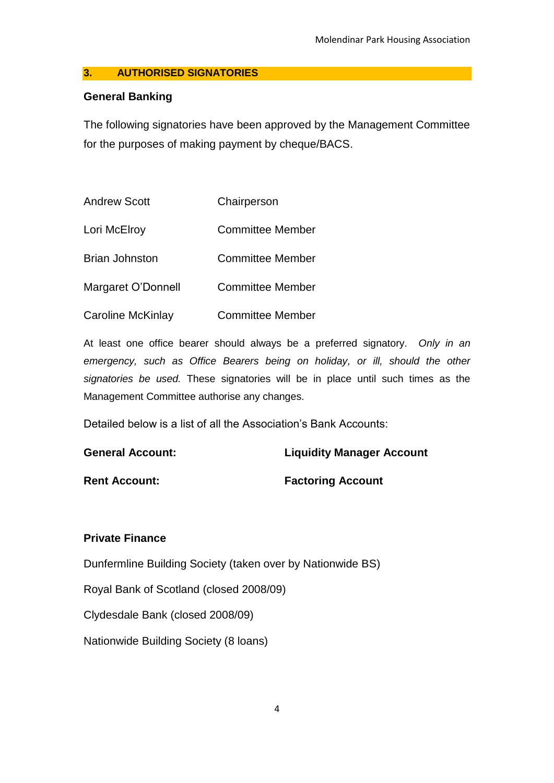#### **3. AUTHORISED SIGNATORIES**

#### **General Banking**

The following signatories have been approved by the Management Committee for the purposes of making payment by cheque/BACS.

| <b>Andrew Scott</b>   | Chairperson             |
|-----------------------|-------------------------|
| Lori McElroy          | Committee Member        |
| <b>Brian Johnston</b> | <b>Committee Member</b> |
| Margaret O'Donnell    | <b>Committee Member</b> |
| Caroline McKinlay     | <b>Committee Member</b> |

At least one office bearer should always be a preferred signatory. *Only in an emergency, such as Office Bearers being on holiday, or ill, should the other signatories be used.* These signatories will be in place until such times as the Management Committee authorise any changes.

Detailed below is a list of all the Association's Bank Accounts:

| <b>General Account:</b> | <b>Liquidity Manager Account</b> |
|-------------------------|----------------------------------|
| <b>Rent Account:</b>    | <b>Factoring Account</b>         |

#### **Private Finance**

Dunfermline Building Society (taken over by Nationwide BS)

Royal Bank of Scotland (closed 2008/09)

Clydesdale Bank (closed 2008/09)

Nationwide Building Society (8 loans)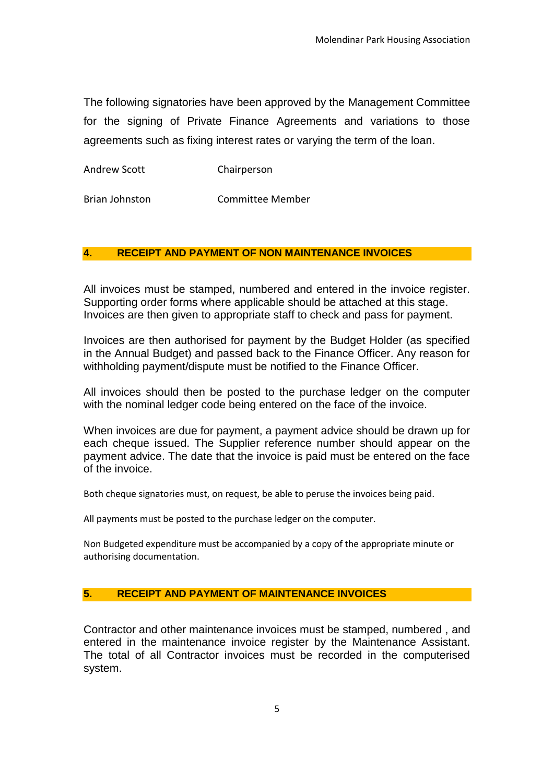The following signatories have been approved by the Management Committee for the signing of Private Finance Agreements and variations to those agreements such as fixing interest rates or varying the term of the loan.

Andrew Scott Chairperson

Brian Johnston Committee Member

#### **4. RECEIPT AND PAYMENT OF NON MAINTENANCE INVOICES**

All invoices must be stamped, numbered and entered in the invoice register. Supporting order forms where applicable should be attached at this stage. Invoices are then given to appropriate staff to check and pass for payment.

Invoices are then authorised for payment by the Budget Holder (as specified in the Annual Budget) and passed back to the Finance Officer. Any reason for withholding payment/dispute must be notified to the Finance Officer.

All invoices should then be posted to the purchase ledger on the computer with the nominal ledger code being entered on the face of the invoice.

When invoices are due for payment, a payment advice should be drawn up for each cheque issued. The Supplier reference number should appear on the payment advice. The date that the invoice is paid must be entered on the face of the invoice.

Both cheque signatories must, on request, be able to peruse the invoices being paid.

All payments must be posted to the purchase ledger on the computer.

Non Budgeted expenditure must be accompanied by a copy of the appropriate minute or authorising documentation.

#### **5. RECEIPT AND PAYMENT OF MAINTENANCE INVOICES**

Contractor and other maintenance invoices must be stamped, numbered , and entered in the maintenance invoice register by the Maintenance Assistant. The total of all Contractor invoices must be recorded in the computerised system.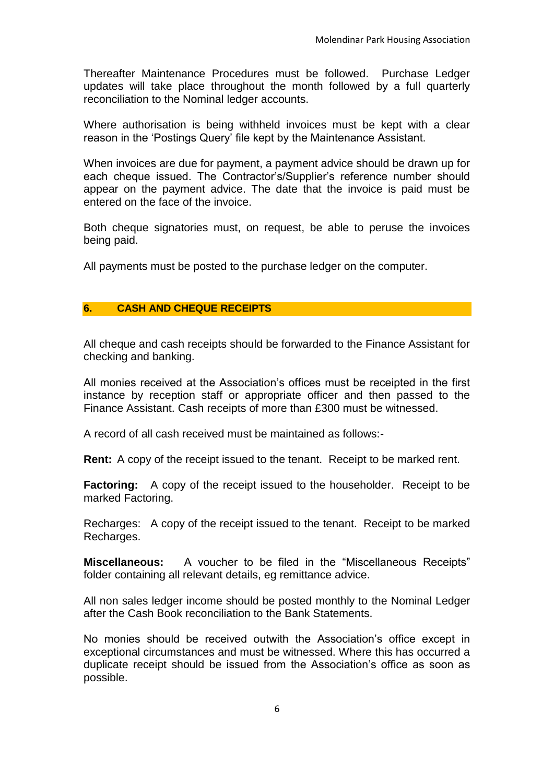Thereafter Maintenance Procedures must be followed. Purchase Ledger updates will take place throughout the month followed by a full quarterly reconciliation to the Nominal ledger accounts.

Where authorisation is being withheld invoices must be kept with a clear reason in the 'Postings Query' file kept by the Maintenance Assistant.

When invoices are due for payment, a payment advice should be drawn up for each cheque issued. The Contractor's/Supplier's reference number should appear on the payment advice. The date that the invoice is paid must be entered on the face of the invoice.

Both cheque signatories must, on request, be able to peruse the invoices being paid.

All payments must be posted to the purchase ledger on the computer.

#### **6. CASH AND CHEQUE RECEIPTS**

All cheque and cash receipts should be forwarded to the Finance Assistant for checking and banking.

All monies received at the Association's offices must be receipted in the first instance by reception staff or appropriate officer and then passed to the Finance Assistant. Cash receipts of more than £300 must be witnessed.

A record of all cash received must be maintained as follows:-

**Rent:** A copy of the receipt issued to the tenant. Receipt to be marked rent.

**Factoring:** A copy of the receipt issued to the householder. Receipt to be marked Factoring.

Recharges: A copy of the receipt issued to the tenant. Receipt to be marked Recharges.

**Miscellaneous:** A voucher to be filed in the "Miscellaneous Receipts" folder containing all relevant details, eg remittance advice.

All non sales ledger income should be posted monthly to the Nominal Ledger after the Cash Book reconciliation to the Bank Statements.

No monies should be received outwith the Association's office except in exceptional circumstances and must be witnessed. Where this has occurred a duplicate receipt should be issued from the Association's office as soon as possible.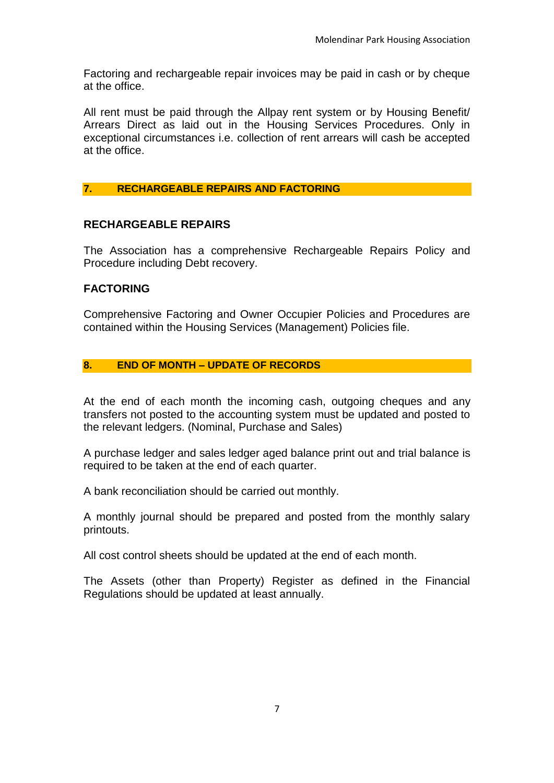Factoring and rechargeable repair invoices may be paid in cash or by cheque at the office.

All rent must be paid through the Allpay rent system or by Housing Benefit/ Arrears Direct as laid out in the Housing Services Procedures. Only in exceptional circumstances i.e. collection of rent arrears will cash be accepted at the office.

#### **7. RECHARGEABLE REPAIRS AND FACTORING**

#### **RECHARGEABLE REPAIRS**

The Association has a comprehensive Rechargeable Repairs Policy and Procedure including Debt recovery.

#### **FACTORING**

Comprehensive Factoring and Owner Occupier Policies and Procedures are contained within the Housing Services (Management) Policies file.

#### **8. END OF MONTH – UPDATE OF RECORDS**

At the end of each month the incoming cash, outgoing cheques and any transfers not posted to the accounting system must be updated and posted to the relevant ledgers. (Nominal, Purchase and Sales)

A purchase ledger and sales ledger aged balance print out and trial balance is required to be taken at the end of each quarter.

A bank reconciliation should be carried out monthly.

A monthly journal should be prepared and posted from the monthly salary printouts.

All cost control sheets should be updated at the end of each month.

The Assets (other than Property) Register as defined in the Financial Regulations should be updated at least annually.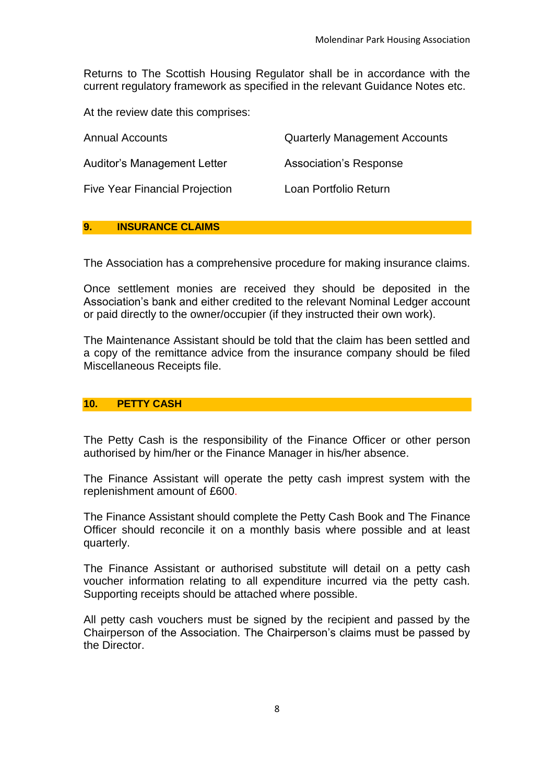Returns to The Scottish Housing Regulator shall be in accordance with the current regulatory framework as specified in the relevant Guidance Notes etc.

At the review date this comprises:

| <b>Annual Accounts</b>                | <b>Quarterly Management Accounts</b> |
|---------------------------------------|--------------------------------------|
| Auditor's Management Letter           | Association's Response               |
| <b>Five Year Financial Projection</b> | Loan Portfolio Return                |

#### **9. INSURANCE CLAIMS**

The Association has a comprehensive procedure for making insurance claims.

Once settlement monies are received they should be deposited in the Association's bank and either credited to the relevant Nominal Ledger account or paid directly to the owner/occupier (if they instructed their own work).

The Maintenance Assistant should be told that the claim has been settled and a copy of the remittance advice from the insurance company should be filed Miscellaneous Receipts file.

#### **10. PETTY CASH**

The Petty Cash is the responsibility of the Finance Officer or other person authorised by him/her or the Finance Manager in his/her absence.

The Finance Assistant will operate the petty cash imprest system with the replenishment amount of £600.

The Finance Assistant should complete the Petty Cash Book and The Finance Officer should reconcile it on a monthly basis where possible and at least quarterly.

The Finance Assistant or authorised substitute will detail on a petty cash voucher information relating to all expenditure incurred via the petty cash. Supporting receipts should be attached where possible.

All petty cash vouchers must be signed by the recipient and passed by the Chairperson of the Association. The Chairperson's claims must be passed by the Director.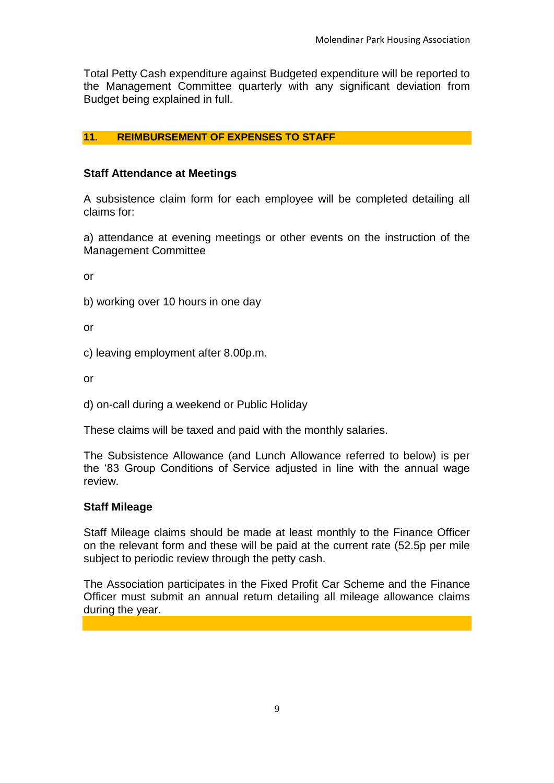Total Petty Cash expenditure against Budgeted expenditure will be reported to the Management Committee quarterly with any significant deviation from Budget being explained in full.

#### **11. REIMBURSEMENT OF EXPENSES TO STAFF**

#### **Staff Attendance at Meetings**

A subsistence claim form for each employee will be completed detailing all claims for:

a) attendance at evening meetings or other events on the instruction of the Management Committee

or

b) working over 10 hours in one day

or

c) leaving employment after 8.00p.m.

or

d) on-call during a weekend or Public Holiday

These claims will be taxed and paid with the monthly salaries.

The Subsistence Allowance (and Lunch Allowance referred to below) is per the '83 Group Conditions of Service adjusted in line with the annual wage review.

#### **Staff Mileage**

Staff Mileage claims should be made at least monthly to the Finance Officer on the relevant form and these will be paid at the current rate (52.5p per mile subject to periodic review through the petty cash.

The Association participates in the Fixed Profit Car Scheme and the Finance Officer must submit an annual return detailing all mileage allowance claims during the year.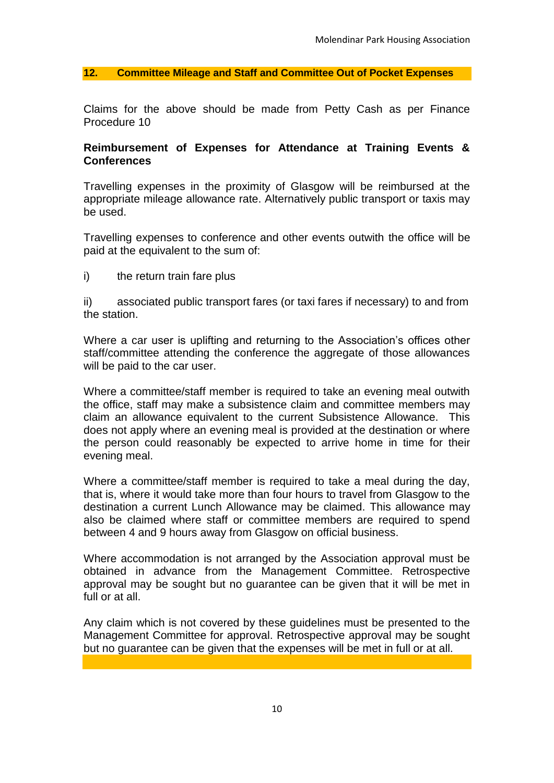**12. Committee Mileage and Staff and Committee Out of Pocket Expenses**

Claims for the above should be made from Petty Cash as per Finance Procedure 10

#### **Reimbursement of Expenses for Attendance at Training Events & Conferences**

Travelling expenses in the proximity of Glasgow will be reimbursed at the appropriate mileage allowance rate. Alternatively public transport or taxis may be used.

Travelling expenses to conference and other events outwith the office will be paid at the equivalent to the sum of:

i) the return train fare plus

ii) associated public transport fares (or taxi fares if necessary) to and from the station.

Where a car user is uplifting and returning to the Association's offices other staff/committee attending the conference the aggregate of those allowances will be paid to the car user.

Where a committee/staff member is required to take an evening meal outwith the office, staff may make a subsistence claim and committee members may claim an allowance equivalent to the current Subsistence Allowance. This does not apply where an evening meal is provided at the destination or where the person could reasonably be expected to arrive home in time for their evening meal.

Where a committee/staff member is required to take a meal during the day, that is, where it would take more than four hours to travel from Glasgow to the destination a current Lunch Allowance may be claimed. This allowance may also be claimed where staff or committee members are required to spend between 4 and 9 hours away from Glasgow on official business.

Where accommodation is not arranged by the Association approval must be obtained in advance from the Management Committee. Retrospective approval may be sought but no guarantee can be given that it will be met in full or at all.

Any claim which is not covered by these guidelines must be presented to the Management Committee for approval. Retrospective approval may be sought but no guarantee can be given that the expenses will be met in full or at all.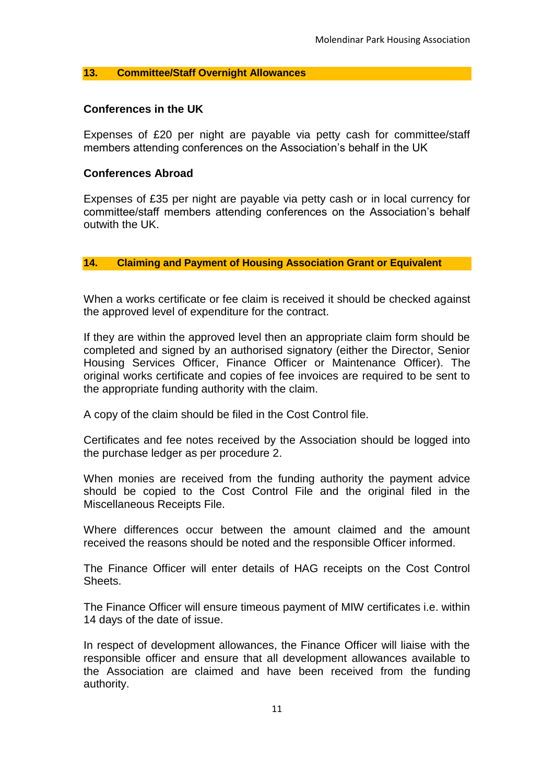#### **13. Committee/Staff Overnight Allowances**

#### **Conferences in the UK**

Expenses of £20 per night are payable via petty cash for committee/staff members attending conferences on the Association's behalf in the UK

#### **Conferences Abroad**

Expenses of £35 per night are payable via petty cash or in local currency for committee/staff members attending conferences on the Association's behalf outwith the UK.

#### **14. Claiming and Payment of Housing Association Grant or Equivalent**

When a works certificate or fee claim is received it should be checked against the approved level of expenditure for the contract.

If they are within the approved level then an appropriate claim form should be completed and signed by an authorised signatory (either the Director, Senior Housing Services Officer, Finance Officer or Maintenance Officer). The original works certificate and copies of fee invoices are required to be sent to the appropriate funding authority with the claim.

A copy of the claim should be filed in the Cost Control file.

Certificates and fee notes received by the Association should be logged into the purchase ledger as per procedure 2.

When monies are received from the funding authority the payment advice should be copied to the Cost Control File and the original filed in the Miscellaneous Receipts File.

Where differences occur between the amount claimed and the amount received the reasons should be noted and the responsible Officer informed.

The Finance Officer will enter details of HAG receipts on the Cost Control Sheets.

The Finance Officer will ensure timeous payment of MIW certificates i.e. within 14 days of the date of issue.

In respect of development allowances, the Finance Officer will liaise with the responsible officer and ensure that all development allowances available to the Association are claimed and have been received from the funding authority.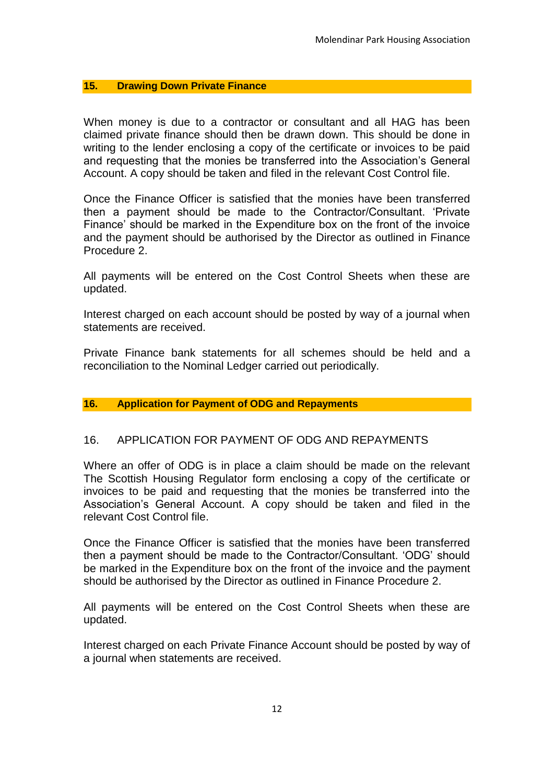#### **15. Drawing Down Private Finance**

When money is due to a contractor or consultant and all HAG has been claimed private finance should then be drawn down. This should be done in writing to the lender enclosing a copy of the certificate or invoices to be paid and requesting that the monies be transferred into the Association's General Account. A copy should be taken and filed in the relevant Cost Control file.

Once the Finance Officer is satisfied that the monies have been transferred then a payment should be made to the Contractor/Consultant. 'Private Finance' should be marked in the Expenditure box on the front of the invoice and the payment should be authorised by the Director as outlined in Finance Procedure 2.

All payments will be entered on the Cost Control Sheets when these are updated.

Interest charged on each account should be posted by way of a journal when statements are received.

Private Finance bank statements for all schemes should be held and a reconciliation to the Nominal Ledger carried out periodically.

#### **16. Application for Payment of ODG and Repayments**

#### 16. APPLICATION FOR PAYMENT OF ODG AND REPAYMENTS

Where an offer of ODG is in place a claim should be made on the relevant The Scottish Housing Regulator form enclosing a copy of the certificate or invoices to be paid and requesting that the monies be transferred into the Association's General Account. A copy should be taken and filed in the relevant Cost Control file.

Once the Finance Officer is satisfied that the monies have been transferred then a payment should be made to the Contractor/Consultant. 'ODG' should be marked in the Expenditure box on the front of the invoice and the payment should be authorised by the Director as outlined in Finance Procedure 2.

All payments will be entered on the Cost Control Sheets when these are updated.

Interest charged on each Private Finance Account should be posted by way of a journal when statements are received.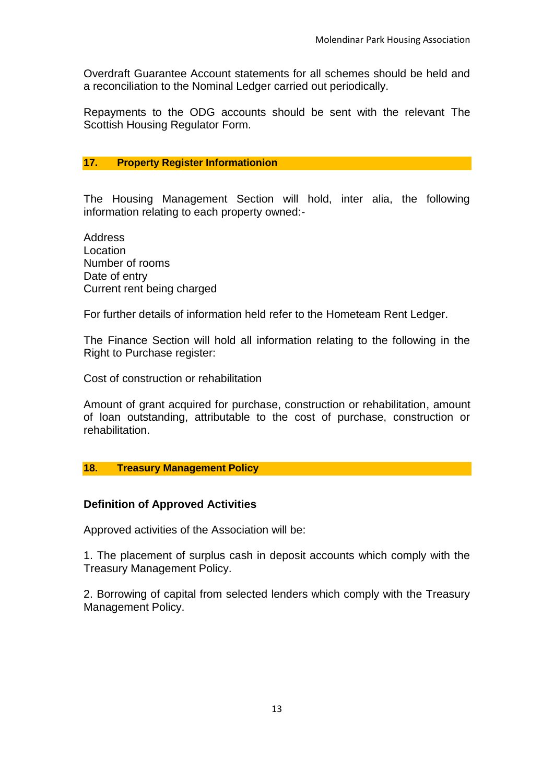Overdraft Guarantee Account statements for all schemes should be held and a reconciliation to the Nominal Ledger carried out periodically.

Repayments to the ODG accounts should be sent with the relevant The Scottish Housing Regulator Form.

#### **17. Property Register Informationion**

The Housing Management Section will hold, inter alia, the following information relating to each property owned:-

Address Location Number of rooms Date of entry Current rent being charged

For further details of information held refer to the Hometeam Rent Ledger.

The Finance Section will hold all information relating to the following in the Right to Purchase register:

Cost of construction or rehabilitation

Amount of grant acquired for purchase, construction or rehabilitation, amount of loan outstanding, attributable to the cost of purchase, construction or rehabilitation.

#### **18. Treasury Management Policy**

#### **Definition of Approved Activities**

Approved activities of the Association will be:

1. The placement of surplus cash in deposit accounts which comply with the Treasury Management Policy.

2. Borrowing of capital from selected lenders which comply with the Treasury Management Policy.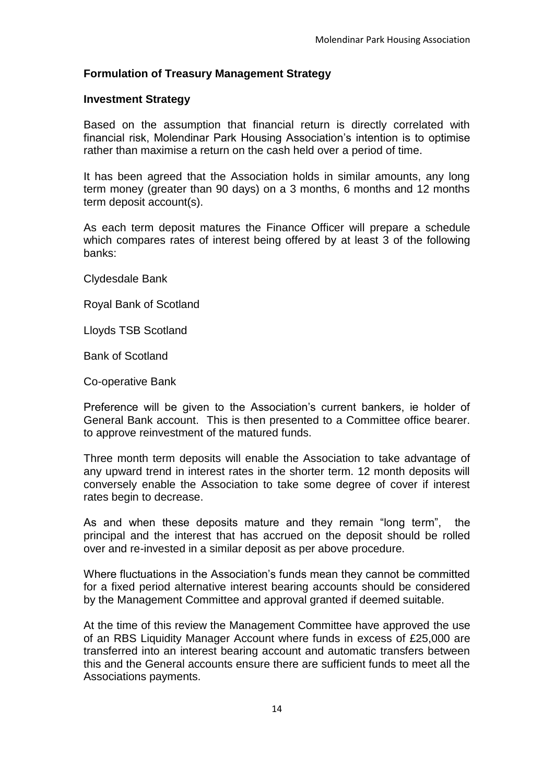#### **Formulation of Treasury Management Strategy**

#### **Investment Strategy**

Based on the assumption that financial return is directly correlated with financial risk, Molendinar Park Housing Association's intention is to optimise rather than maximise a return on the cash held over a period of time.

It has been agreed that the Association holds in similar amounts, any long term money (greater than 90 days) on a 3 months, 6 months and 12 months term deposit account(s).

As each term deposit matures the Finance Officer will prepare a schedule which compares rates of interest being offered by at least 3 of the following banks:

Clydesdale Bank

Royal Bank of Scotland

Lloyds TSB Scotland

Bank of Scotland

Co-operative Bank

Preference will be given to the Association's current bankers, ie holder of General Bank account. This is then presented to a Committee office bearer. to approve reinvestment of the matured funds.

Three month term deposits will enable the Association to take advantage of any upward trend in interest rates in the shorter term. 12 month deposits will conversely enable the Association to take some degree of cover if interest rates begin to decrease.

As and when these deposits mature and they remain "long term", the principal and the interest that has accrued on the deposit should be rolled over and re-invested in a similar deposit as per above procedure.

Where fluctuations in the Association's funds mean they cannot be committed for a fixed period alternative interest bearing accounts should be considered by the Management Committee and approval granted if deemed suitable.

At the time of this review the Management Committee have approved the use of an RBS Liquidity Manager Account where funds in excess of £25,000 are transferred into an interest bearing account and automatic transfers between this and the General accounts ensure there are sufficient funds to meet all the Associations payments.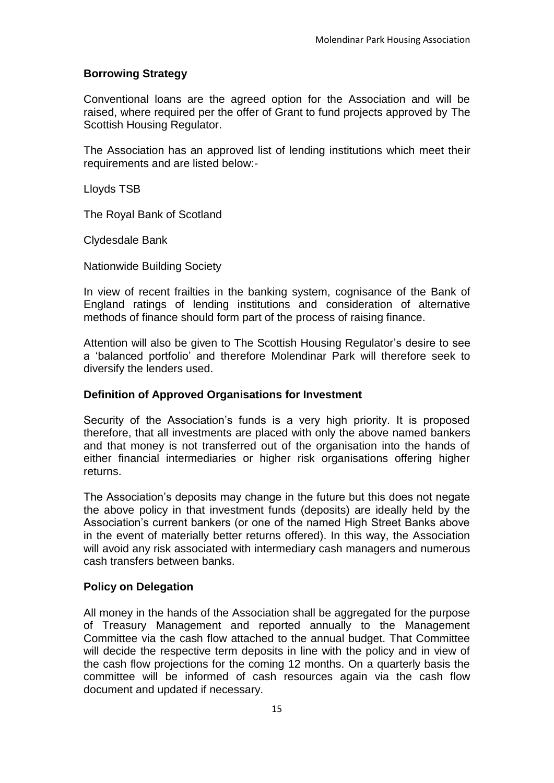### **Borrowing Strategy**

Conventional loans are the agreed option for the Association and will be raised, where required per the offer of Grant to fund projects approved by The Scottish Housing Regulator.

The Association has an approved list of lending institutions which meet their requirements and are listed below:-

Lloyds TSB

The Royal Bank of Scotland

Clydesdale Bank

Nationwide Building Society

In view of recent frailties in the banking system, cognisance of the Bank of England ratings of lending institutions and consideration of alternative methods of finance should form part of the process of raising finance.

Attention will also be given to The Scottish Housing Regulator's desire to see a 'balanced portfolio' and therefore Molendinar Park will therefore seek to diversify the lenders used.

#### **Definition of Approved Organisations for Investment**

Security of the Association's funds is a very high priority. It is proposed therefore, that all investments are placed with only the above named bankers and that money is not transferred out of the organisation into the hands of either financial intermediaries or higher risk organisations offering higher returns.

The Association's deposits may change in the future but this does not negate the above policy in that investment funds (deposits) are ideally held by the Association's current bankers (or one of the named High Street Banks above in the event of materially better returns offered). In this way, the Association will avoid any risk associated with intermediary cash managers and numerous cash transfers between banks.

#### **Policy on Delegation**

All money in the hands of the Association shall be aggregated for the purpose of Treasury Management and reported annually to the Management Committee via the cash flow attached to the annual budget. That Committee will decide the respective term deposits in line with the policy and in view of the cash flow projections for the coming 12 months. On a quarterly basis the committee will be informed of cash resources again via the cash flow document and updated if necessary.